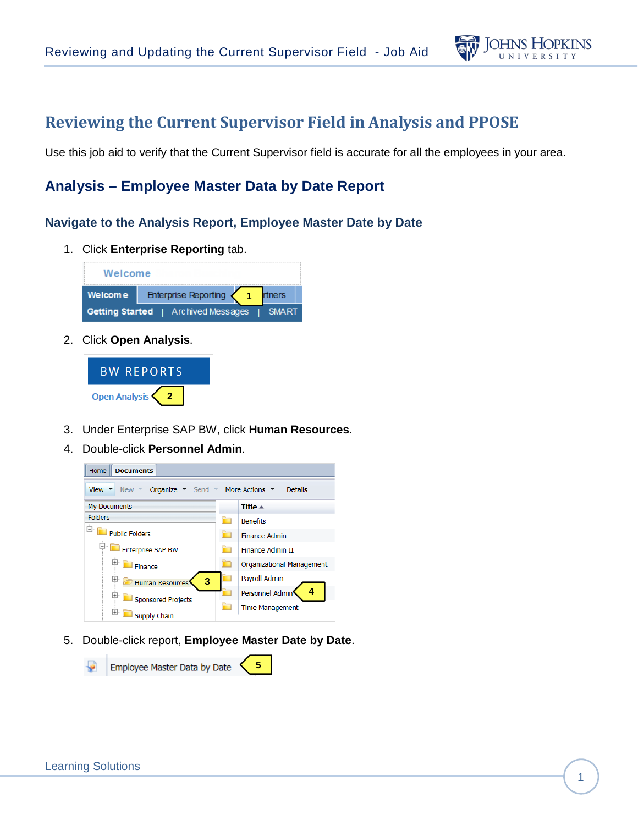

# **Reviewing the Current Supervisor Field in Analysis and PPOSE**

Use this job aid to verify that the Current Supervisor field is accurate for all the employees in your area.

## **Analysis – Employee Master Data by Date Report**

#### **Navigate to the Analysis Report, Employee Master Date by Date**

1. Click **Enterprise Reporting** tab.



2. Click **Open Analysis**.



- 3. Under Enterprise SAP BW, click **Human Resources**.
- 4. Double-click **Personnel Admin**.



5. Double-click report, **Employee Master Date by Date**.

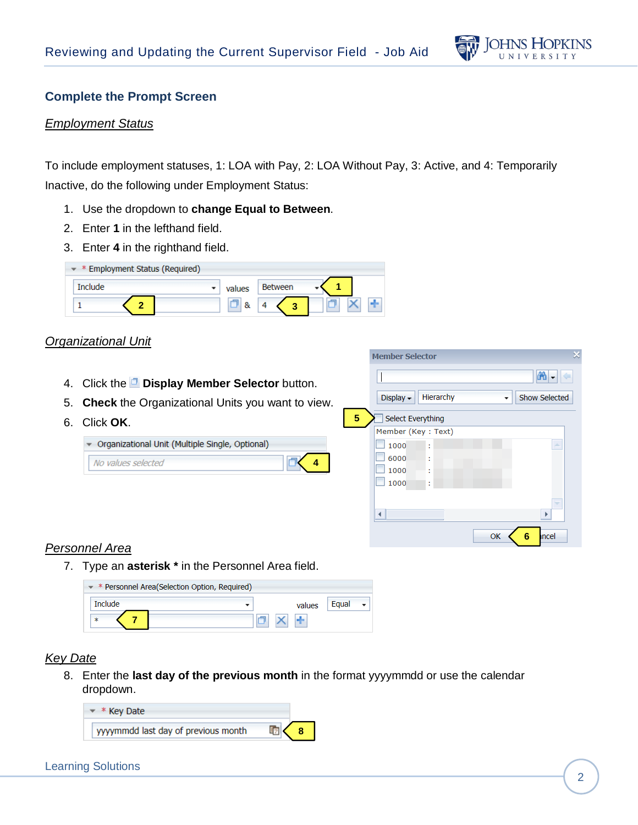

### **Complete the Prompt Screen**

#### *Employment Status*

To include employment statuses, 1: LOA with Pay, 2: LOA Without Pay, 3: Active, and 4: Temporarily Inactive, do the following under Employment Status:

- 1. Use the dropdown to **change Equal to Between**.
- 2. Enter **1** in the lefthand field.
- 3. Enter **4** in the righthand field.

| * Employment Status (Required)<br>▼ |        |                |  |
|-------------------------------------|--------|----------------|--|
| <b>Include</b>                      | values | <b>Between</b> |  |
|                                     |        |                |  |

#### *Organizational Unit*

- 4. Click the **Display Member Selector** button.
- 5. **Check** the Organizational Units you want to view.
- 6. Click **OK**.

| ▼ Organizational Unit (Multiple Single, Optional) |   |
|---------------------------------------------------|---|
| No values selected                                | k |

|   | <b>Member Selector</b>                         |
|---|------------------------------------------------|
|   | ѦҸ                                             |
|   | Hierarchy<br>Display -<br><b>Show Selected</b> |
| 5 | Select Everything                              |
|   | Member (Key: Text)                             |
|   | 1000<br>人<br>t                                 |
|   | 6000<br>t                                      |
|   | 1000<br>٠<br>÷                                 |
|   | 1000<br>t                                      |
|   | v                                              |
|   |                                                |
|   | ncel<br>OK<br>6                                |

### *Personnel Area*

7. Type an **asterisk \*** in the Personnel Area field.

| $\star$ * Personnel Area(Selection Option, Required) |        |       |  |
|------------------------------------------------------|--------|-------|--|
| <b>Include</b>                                       | values | Faual |  |
| ∗                                                    |        |       |  |

#### *Key Date*

8. Enter the **last day of the previous month** in the format yyyymmdd or use the calendar dropdown.

**4**

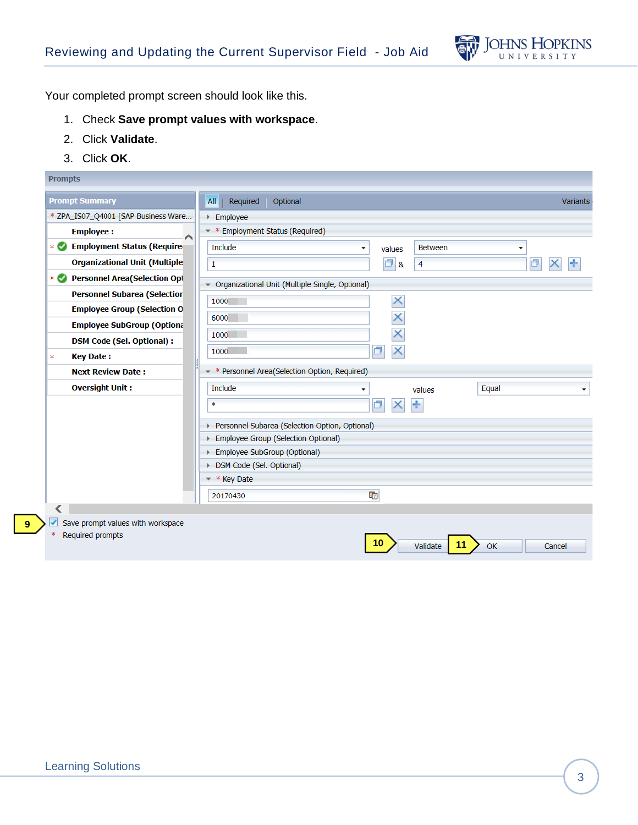

Your completed prompt screen should look like this.

- 1. Check **Save prompt values with workspace**.
- 2. Click **Validate**.
- 3. Click **OK**.

| <b>Prompts</b>                                       |                                                                      |                 |
|------------------------------------------------------|----------------------------------------------------------------------|-----------------|
| <b>Prompt Summary</b>                                | Required<br>Optional<br>All                                          | <b>Variants</b> |
| * ZPA_IS07_Q4001 [SAP Business Ware                  | Employee                                                             |                 |
| <b>Employee:</b><br>∧                                | <b>Employment Status (Required)</b><br>∗                             |                 |
| <b>Employment Status (Require</b><br>$*$ $\bullet$   | Include<br><b>Between</b><br>values<br>$\overline{\phantom{a}}$<br>٠ |                 |
| <b>Organizational Unit (Multiple</b>                 | O<br>Ò<br>$\mathbf 1$<br>4<br>&                                      |                 |
| <b>Personnel Area(Selection Opt</b><br>$*$ $\bullet$ | - Organizational Unit (Multiple Single, Optional)                    |                 |
| <b>Personnel Subarea (Selectior</b>                  | ×                                                                    |                 |
| <b>Employee Group (Selection 0)</b>                  | 1000                                                                 |                 |
| <b>Employee SubGroup (Optiona</b>                    | 6000                                                                 |                 |
| <b>DSM Code (Sel. Optional):</b>                     | 1000                                                                 |                 |
| <b>Key Date:</b><br>$\ast$                           | ×<br>1000                                                            |                 |
| <b>Next Review Date:</b>                             | Personnel Area(Selection Option, Required)                           |                 |
| <b>Oversight Unit:</b>                               | Include<br>Equal<br>values<br>۰                                      | ٠               |
|                                                      | ÷<br>$\ast$                                                          |                 |
|                                                      | Personnel Subarea (Selection Option, Optional)<br>Þ.                 |                 |
|                                                      | Employee Group (Selection Optional)<br>Þ.                            |                 |
|                                                      | Employee SubGroup (Optional)<br>Þ                                    |                 |
|                                                      | > DSM Code (Sel. Optional)                                           |                 |
|                                                      | $*$ Key Date                                                         |                 |
|                                                      | 中<br>20170430                                                        |                 |
|                                                      |                                                                      |                 |
| Save prompt values with workspace                    |                                                                      |                 |
| Required prompts                                     | 10<br>11<br>Validate<br>OK                                           | Cancel          |

**9**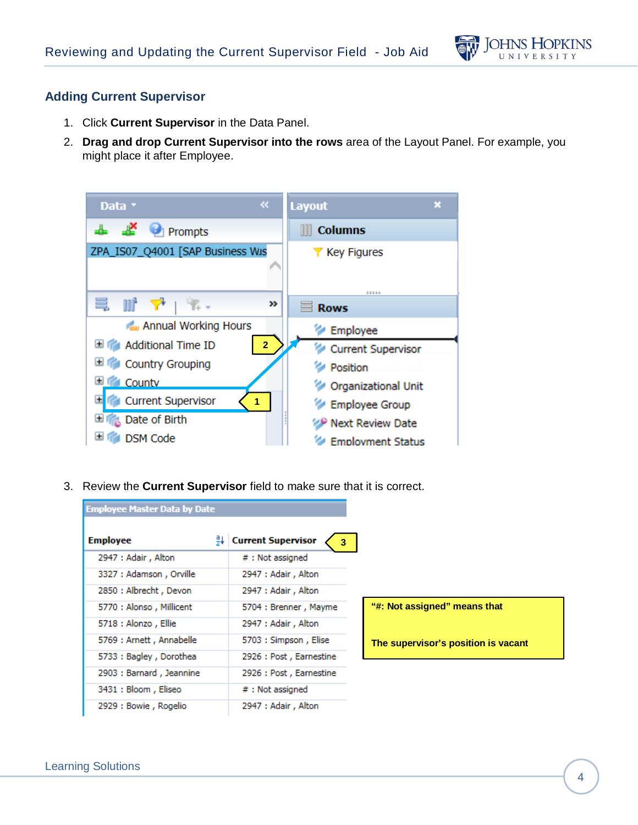

### **Adding Current Supervisor**

- 1. Click **Current Supervisor** in the Data Panel.
- 2. **Drag and drop Current Supervisor into the rows** area of the Layout Panel. For example, you might place it after Employee.

| $\ll$<br>Data *                                   | <b>Layout</b><br>×        |
|---------------------------------------------------|---------------------------|
| $\frac{1}{2}$ $\frac{1}{2}$ Prompts               | <b>Columns</b>            |
| ZPA_IS07_Q4001 [SAP Business Wis                  | <b>Y</b> Key Figures      |
| e in Y<br>>>                                      | 33335<br><b>Rows</b>      |
| Annual Working Hours                              | Employee                  |
| <b>El International Time ID</b><br>$\overline{2}$ | Current Supervisor        |
| Country Grouping                                  | Position                  |
| <b>County</b>                                     | Organizational Unit       |
| <b>Current Supervisor</b><br>1                    | Employee Group            |
| <b>Date of Birth</b>                              | <b>P Next Review Date</b> |
| <b>DSM Code</b>                                   | <b>Employment Status</b>  |

3. Review the **Current Supervisor** field to make sure that it is correct.

| <b>Employee Master Data by Date</b> |                                |
|-------------------------------------|--------------------------------|
| <b>Employee</b>                     | <b>Current Supervisor</b><br>3 |
| 2947 : Adair, Alton                 | #: Not assigned                |
| 3327 : Adamson, Orville             | 2947 : Adair, Alton            |
| 2850 : Albrecht, Devon              | 2947 : Adair, Alton            |
| 5770 : Alonso, Millicent            | 5704 : Brenner, Mayme          |
| 5718 : Alonzo, Ellie                | 2947 : Adair, Alton            |
| 5769 : Arnett, Annabelle            | 5703 : Simpson, Elise          |
| 5733 : Bagley, Dorothea             | 2926 : Post, Earnestine        |
| 2903 : Barnard, Jeannine            | 2926 : Post, Earnestine        |
| 3431 : Bloom, Eliseo                | $#$ : Not assigned             |
| 2929 : Bowie, Rogelio               | 2947 : Adair, Alton            |

**"#: Not assigned" means that** 

**The supervisor's position is vacant**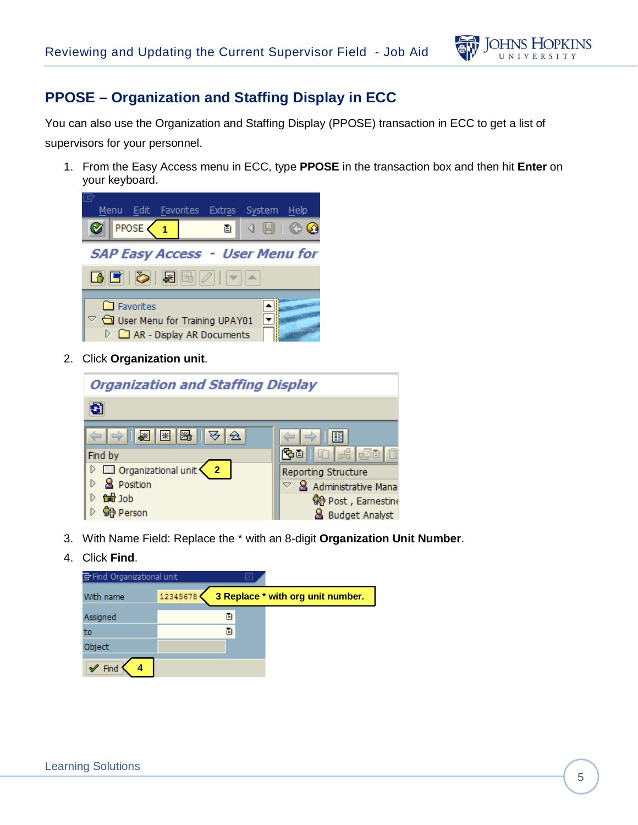

## **PPOSE – Organization and Staffing Display in ECC**

You can also use the Organization and Staffing Display (PPOSE) transaction in ECC to get a list of supervisors for your personnel.

1. From the Easy Access menu in ECC, type **PPOSE** in the transaction box and then hit **Enter** on your keyboard.



2. Click **Organization unit**.



- 3. With Name Field: Replace the \* with an 8-digit **Organization Unit Number**.
- 4. Click **Find**.

| Find Organizational unit |          |   |                                   |
|--------------------------|----------|---|-----------------------------------|
| With name                | 12345678 |   | 3 Replace * with org unit number. |
| Assigned                 |          | ē |                                   |
| to                       |          | 阊 |                                   |
| Object                   |          |   |                                   |
|                          |          |   |                                   |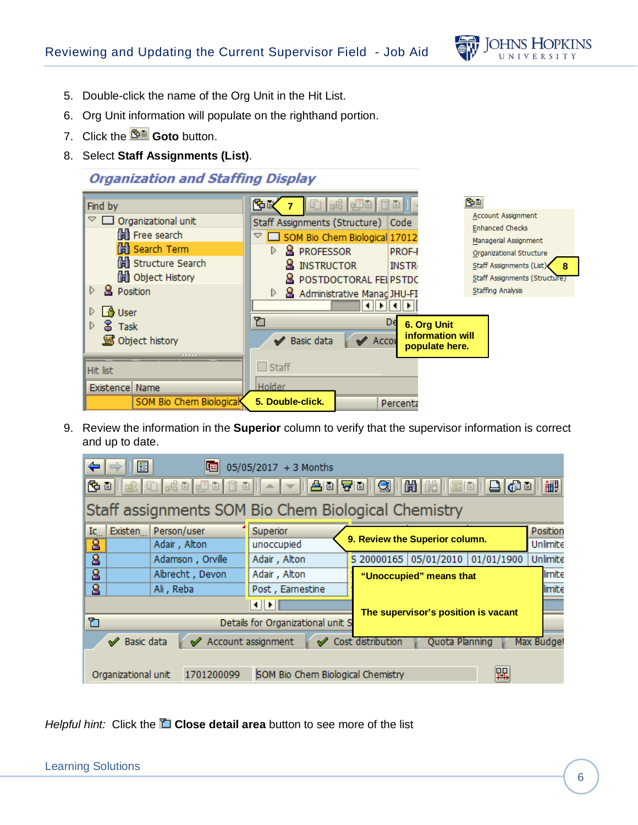

- 5. Double-click the name of the Org Unit in the Hit List.
- 6. Org Unit information will populate on the righthand portion.
- 7. Click the **Goto** button.
- 8. Select **Staff Assignments (List)**.

## **Organization and Staffing Display**



9. Review the information in the **Superior** column to verify that the supervisor information is correct and up to date.

| ⇐                                                                                                         | 僵                   | 啯                  | 05/05/2017 + 3 Months                               |                   |                                     |            |            |
|-----------------------------------------------------------------------------------------------------------|---------------------|--------------------|-----------------------------------------------------|-------------------|-------------------------------------|------------|------------|
| $ 0 $ a a $ 0 $<br>$\mathbf{E}[\mathbf{E}^{\mathrm{H}}]$<br>齫<br>ic di<br><u> AD GD</u><br>q<br>盲目<br>日頃日 |                     |                    |                                                     |                   |                                     |            |            |
|                                                                                                           |                     |                    | Staff assignments SOM Bio Chem Biological Chemistry |                   |                                     |            |            |
| Ic.                                                                                                       | Existen             | Person/user        | Superior                                            |                   |                                     |            | Position   |
| 8                                                                                                         |                     | Adair, Alton       | unoccupied                                          |                   | 9. Review the Superior column.      |            | Unlimite   |
| $\overline{\mathbf{g}}$                                                                                   |                     | Adamson, Orville   | Adair, Alton                                        |                   | S 20000165 05/01/2010               | 01/01/1900 | Unlimite   |
| 8                                                                                                         |                     | Albrecht, Devon    | Adair, Alton                                        |                   | "Unoccupied" means that             |            |            |
| 8                                                                                                         |                     | Ali, Reba          | Post, Earnestine                                    |                   |                                     |            | limite     |
|                                                                                                           |                     |                    | $  \cdot  $                                         |                   | The supervisor's position is vacant |            |            |
| ิิัั                                                                                                      |                     |                    | Details for Organizational unit S                   |                   |                                     |            |            |
|                                                                                                           | Basic data<br>✔     | Account assignment |                                                     | Cost distribution | Quota Planning                      |            | Max Budget |
|                                                                                                           |                     |                    |                                                     |                   |                                     |            |            |
|                                                                                                           | Organizational unit | 1701200099         | SOM Bio Chem Biological Chemistry                   |                   |                                     | 暭          |            |

*Helpful hint:* Click the **Close detail area** button to see more of the list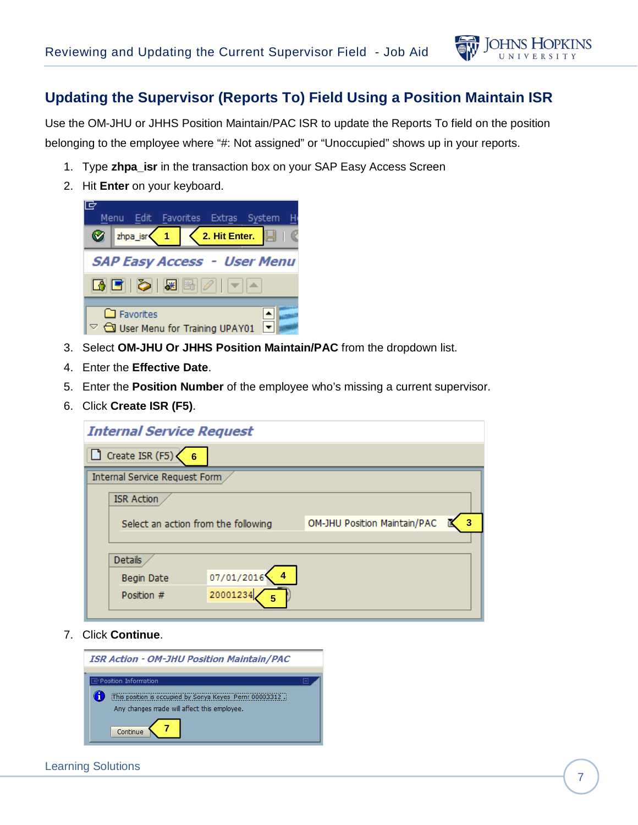

## **Updating the Supervisor (Reports To) Field Using a Position Maintain ISR**

Use the OM-JHU or JHHS Position Maintain/PAC ISR to update the Reports To field on the position belonging to the employee where "#: Not assigned" or "Unoccupied" shows up in your reports.

- 1. Type **zhpa\_isr** in the transaction box on your SAP Easy Access Screen
- 2. Hit **Enter** on your keyboard.



- 3. Select **OM-JHU Or JHHS Position Maintain/PAC** from the dropdown list.
- 4. Enter the **Effective Date**.
- 5. Enter the **Position Number** of the employee who's missing a current supervisor.
- 6. Click **Create ISR (F5)**.

| <b>Internal Service Request</b>     |            |                              |   |
|-------------------------------------|------------|------------------------------|---|
| Create ISR (F5)<br>6                |            |                              |   |
| Internal Service Request Form       |            |                              |   |
| <b>ISR Action</b>                   |            |                              |   |
| Select an action from the following |            | OM-JHU Position Maintain/PAC | 3 |
|                                     |            |                              |   |
| Details                             |            |                              |   |
| Begin Date                          | 07/01/2016 |                              |   |
| Position #                          | 20001234   |                              |   |

7. Click **Continue**.